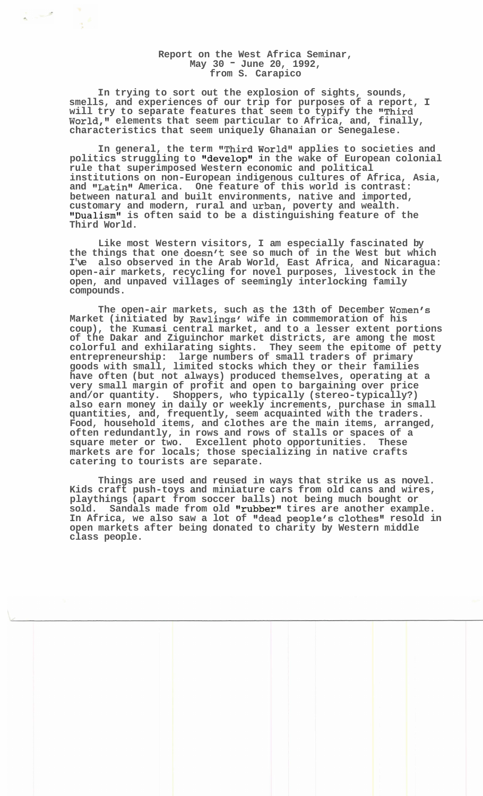## **Report on the West Africa Seminar, May 30** - **June 20, 1992, from S. Carapico**

**In trying to sort out the explosion of sights, sounds, smells, and experiences of our trip for purposes of a report, I will try to separate features that seem to typify the "Third World," elements that seem particular to Africa, and, finally, characteristics that seem uniquely Ghanaian or Senegalese.** 

In general, the term "Third World" applies to societies and politics struggling to **"**develop" in the wake of European colonial **rule that superimposed Western economic and political institutions on non-European indigenous cultures of Africa, Asia,**  and "Latin" America. One feature of this world is contrast: **between natural and built environments, native and imported,**  customary and modern, rural and urban, poverty and wealth. "Dualism" is often said to be a distinguishing feature of the **Third World.** 

**Like most Western visitors, I am especially fascinated by**  the things that one doesn't see so much of in the West but which **I've also observed in the Arab World, East Africa, and Nicaragua: open-air markets, recycling for novel purposes, livestock in the open, and unpaved villages of seemingly interlocking family compounds.** 

The open-air markets, such as the 13th of December Women's **Market (initiated by Rawlings' wife in commemoration of his coup), the Kumasi central market, and to a lesser extent portions of the Dakar and Ziguinchor market districts, are among the most colorful and exhilarating sights. They seem the epitome of petty entrepreneurship: large numbers of small traders of primary goods with small, limited stocks which they or their families have often (but not always) produced themselves, operating at a very small margin of profit and open to bargaining over price and/or quantity. Shoppers, who typically (stereo-typically?) also earn money in daily or weekly increments, purchase in small quantities, and, frequently, seem acquainted with the traders. Food, household items, and clothes are the main items, arranged, often redundantly, in rows and rows of stalls or spaces of a square meter or two. Excellent photo opportunities. These markets are for locals; those specializing in native crafts catering to tourists are separate.** 

**Things are used and reused in ways that strike us as novel. Kids craft push-toys and miniature cars from old cans and wires, playthings (apart from soccer balls) not being much bought or**  sold. Sandals made from old "rubber" tires are another example. In Africa, we also saw a lot of "dead people's clothes" resold in **open markets after being donated to charity by Western middle class people.**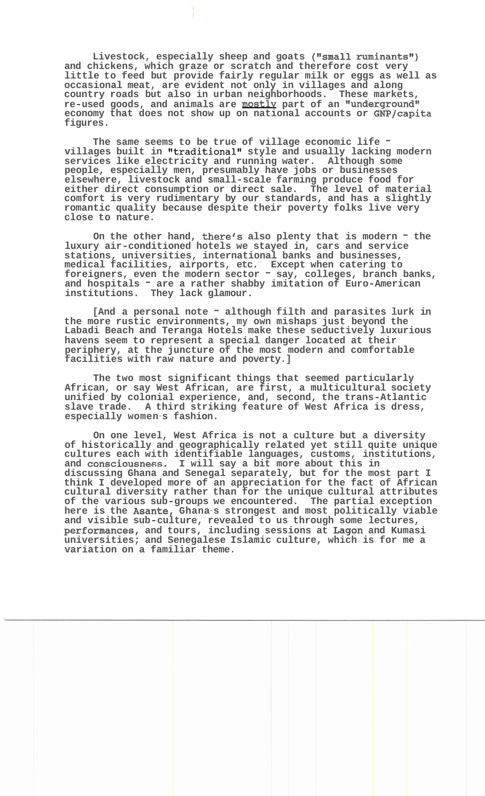Livestock, especially sheep and goats ("small ruminants") **and chickens, which graze or scratch and therefore cost very little to feed but provide fairly regular milk or eggs as well as occasional meat, are evident not only in villages and along country roads but also in urban neighborhoods. These markets,**  re-used goods, and animals are mostly part of an "underground" economy that does not show up on national accounts or GNP/capita **figures.** 

**The same seems to be true of village economic life**  villages built in "traditional" style and usually lacking modern **services like electricity and running water. Although some people, especially men, presumably have jobs or businesses elsewhere, livestock and small-scale farming produce food for either direct consumption or direct sale. The level of material comfort is very rudimentary by our standards, and has a slightly romantic quality because despite their poverty folks live very close to nature.** 

On the other hand, there's also plenty that is modern  $-$  the **luxury air-conditioned hotels we stayed in, cars and service stations, universities, international banks and businesses, medical facilities, airports, etc. Except when catering to foreigners, even the modern sector** - **say, colleges, branch banks, and hospitals** - **are a rather shabby imitation of Euro-American institutions. They lack glamour.** 

[And a personal note <sup>-</sup> although filth and parasites lurk in **the more rustic environments, my own mishaps just beyond the Labadi Beach and Teranga Hotels make these seductively luxurious havens seem to represent a special danger located at their periphery, at the juncture of the most modern and comfortable facilities with raw nature and poverty.]** 

**The two most significant things that seemed particularly African, or say West African, are first, a multicultural society unified by colonial experience, and, second, the trans-Atlantic slave trade. A third striking feature of West Africa is dress,**  especially women<sub>s fashion.</sub>

**On one level, West Africa is not a culture but a diversity of historically and geographically related yet still quite unique cultures each with identifiable languages, customs, institutions,**  and consciousness. I will say a bit more about this in **discussing Ghana and Senegal separately, but for the most part I think I developed more of an appreciation for the fact of African cultural diversity rather than for the unique cultural attributes of the various sub-groups we encountered. The partial exception**  here is the Asante, Ghana s strongest and most politically viable **and visible sub-culture, revealed to us through some lectures, performances, and tours, including sessions at Lagon and Kumasi universities; and Senegalese Islamic culture, which is for me a variation on a familiar theme.**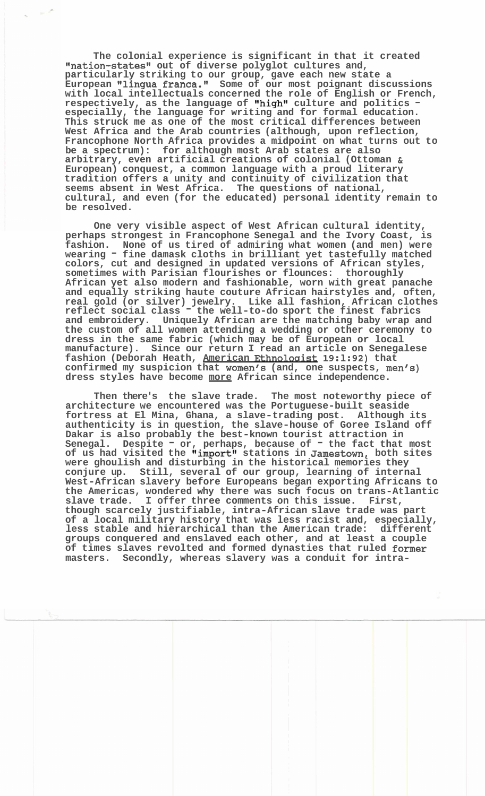**The colonial experience is significant in that it created**  "nation-states" out of diverse polyglot cultures and, **particularly striking to our group, gave each new state a European lllingua franca." Some of our most poignant discussions with local intellectuals concerned the role of English or French,**  respectively, as the language of "high" culture and politics **especially, the language for writing and for formal education. This struck me as one of the most critical differences between West Africa and the Arab countries (although, upon reflection, Francophone North Africa provides a midpoint on what turns out to be a spectrum): for although most Arab states are also arbitrary, even artificial creations of colonial (Ottoman** & **European) conquest, a common language with a proud literary tradition offers a unity and continuity of civilization that seems absent in West Africa. The questions of national, cultural, and even (for the educated) personal identity remain to be resolved.** 

**One very visible aspect of West African cultural identity, perhaps strongest in Francophone Senegal and the Ivory Coast, is fashion. None of us tired of admiring what women (and men) were wearing** - **fine damask cloths in brilliant yet tastefully matched colors, cut and designed in updated versions of African styles,**  sometimes with Parisian flourishes or flounces: **African yet also modern and fashionable, worn with great panache and equally striking haute couture African hairstyles and, often, real gold (or silver) jewelry. Like all fashion, African clothes reflect social class** - **the well-to-do sport the finest fabrics and embroidery. Uniquely African are the matching baby wrap and the custom of all women attending a wedding or other ceremony to dress in the same fabric (which may be of European or local manufacture). Since our return I read an article on Senegalese fashion (Deborah Heath, American Ethnoloaist 19:1:92) that confirmed my suspicion that women's (and, one suspects, men's) dress styles have become more African since independence.** 

**Then there's the slave trade. The most noteworthy piece of architecture we encountered was the Portuguese-built seaside fortress at El Mina, Ghana, a slave-trading post. Although its authenticity is in question, the slave-house of Goree Island off Dakar is also probably the best-known tourist attraction in**  Dakar is also probably the best-known tourist attraction in<br>Senegal. Despite <sup>-</sup> or, perhaps, because of <sup>-</sup> the fact that most of us had visited the "import" stations in Jamestown, both sites **were ghoulish and disturbing in the historical memories they conjure up. Still, several of our group, learning of internal West-African slavery before Europeans began exporting Africans to the Americas, wondered why there was such focus on trans-Atlantic slave trade. I offer three comments on this issue. First, though scarcely justifiable, intra-African slave trade was part of a local military history that was less racist and, especially, less stable and hierarchical than the American trade: different groups conquered and enslaved each other, and at least a couple of times slaves revolted and formed dynasties that ruled former masters. Secondly, whereas slavery was a conduit for intra-**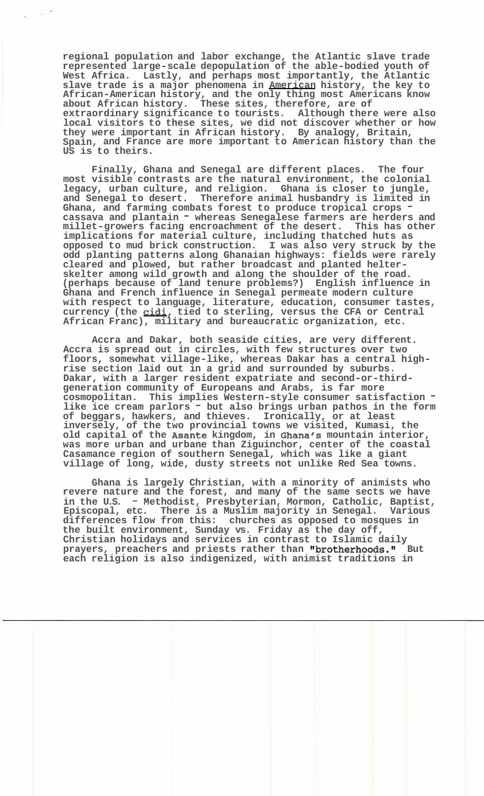**regional population and labor exchange, the Atlantic slave trade represented large-scale depopulation of the able-bodied youth of West Africa. Lastly, and perhaps most importantly, the Atlantic slave trade is a major phenomena in American history, the key to African-American history, and the only thing most Americans know about African history. These sites, therefore, are of extraordinary significance to tourists. Although there were also local visitors to these sites, we did not discover whether or how they were important in African history. By analogy, Britain, Spain, and France are more important to American history than the US is to theirs.** 

 $\sim$ 

**Finally, Ghana and Senegal are different places. The four most visible contrasts are the natural environment, the colonial legacy, urban culture, and religion. Ghana is closer to jungle, and Senegal to desert. Therefore animal husbandry is limited in**  Ghana, and farming combats forest to produce tropical crops cassava and plantain <sup>-</sup> whereas Senegalese farmers are herders and millet-growers facing encroachment of the desert. This has other millet-growers facing encroachment of the desert. **implications for material culture, including thatched huts as opposed to mud brick construction. I was also very struck by the odd planting patterns along Ghanaian highways: fields were rarely**  skelter among wild growth and along the shoulder of the road. **(perhaps because of land tenure problems?) English influence in Ghana and French influence in Senegal permeate modern culture with respect to language, literature, education, consumer tastes, currency (the cidi, tied to sterling, versus the CFA or Central African Franc), military and bureaucratic organization, etc.** 

**Accra and Dakar, both seaside cities, are very different. Accra is spread out in circles, with few structures over two floors, somewhat village-like, whereas Dakar has a central high- rise section laid out in a grid and surrounded by suburbs. Dakar, with a larger resident expatriate and second-or-third- generation community of Europeans and Arabs, is far more cosmopolitan. This implies Western-style consumer satisfaction like ice cream parlors** - **but also brings urban pathos in the form of beggars, hawkers, and thieves. Ironically, or at least inversely, of the two provincial towns we visited, Kumasi, the old capital of the Asante kingdom, in Ghana's mountain interior, was more urban and urbane than Ziguinchor, center of the coastal Casamance region of southern Senegal, which was like a giant village of long, wide, dusty streets not unlike Red Sea towns.** 

**Ghana is largely Christian, with a minority of animists who revere nature and the forest, and many of the same sects we have in the U.S.** - **Methodist, Presbyterian, Mormon, Catholic, Baptist, Episcopal, etc. There is a Muslim majority in Senegal. Various differences flow from this: churches as opposed to mosques in the built environment, Sunday vs. Friday as the day off, Christian holidays and services in contrast to Islamic daily**  prayers, preachers and priests rather than "brotherhoods." But **each religion is also indigenized, with animist traditions in**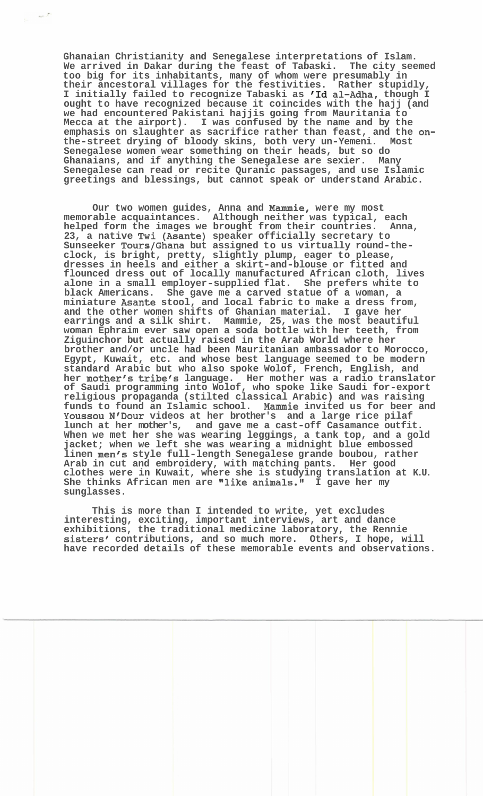**Ghanaian Christianity and Senegalese interpretations of Islam. We arrived in Dakar during the feast of Tabaski. The city seemed too big for its inhabitants, many of whom were presumably in their ancestoral villages for the festivities. Rather stupidly, I initially failed to recognize Tabaski as 'Id al-Adha, though I ought to have recognized because it coincides with the hajj (and we had encountered Pakistani hajjis going from Mauritania to Mecca at the airport). I was confused by the name and by the emphasis on slaughter as sacrifice rather than feast, and the onthe-street drying of bloody skins, both very un-Yemeni. Most Senegalese women wear something on their heads, but so do Ghanaians, and if anything the Senegalese are sexier. Many Senegalese can read or recite Quranic passages, and use Islamic greetings and blessings, but cannot speak or understand Arabic.** 

**Our two women guides, Anna and Mamie, were my most memorable acquaintances. Although neither was typical, each helped form the images we brought from their countries. Anna, 23, a native Twi (Asante) speaker officially secretary to**  Sunseeker Tours/Ghana but assigned to us virtually round-the-clock, is bright, pretty, slightly plump, eager to please, **dresses in heels and either a skirt-and-blouse or fitted and flounced dress out of locally manufactured African cloth, lives alone in a small employer-supplied flat. She prefers white to black Americans. She gave me a carved statue of a woman, a miniature Asante stool, and local fabric to make a dress from, and the other women shifts of Ghanian material. I gave her earrings and a silk shirt. Mammie, 25, was the most beautiful woman Ephraim ever saw open a soda bottle with her teeth, from Ziguinchor but actually raised in the Arab World where her brother and/or uncle had been Mauritanian ambassador to Morocco, Egypt, Kuwait, etc. and whose best language seemed to be modern standard Arabic but who also spoke Wolof, French, English, and her mother's tribe's language. Her mother was a radio translator of Saudi programming into Wolof, who spoke like Saudi for-export religious propaganda (stilted classical Arabic) and was raising funds to found an Islamic school. Mamie invited us for beer and Youssou N'Dour videos at her brother's and a large rice pilaf lunch at her mother's, and gave me a cast-off Casamance outfit. When we met her she was wearing leggings, a tank top, and a gold jacket; when we left she was wearing a midnight blue embossed linen men's style full-length Senegalese grande boubou, rather Arab in cut and embroidery, with matching pants. Her good clothes were in Kuwait, where she is studying translation at K.U.**  She thinks African men are "like animals." I gave her my **sunglasses.** 

**This is more than I intended to write, yet excludes interesting, exciting, important interviews, art and dance exhibitions, the traditional medicine laboratory, the Rennie sisters' contributions, and so much more. Others, I hope, will have recorded details of these memorable events and observations.**